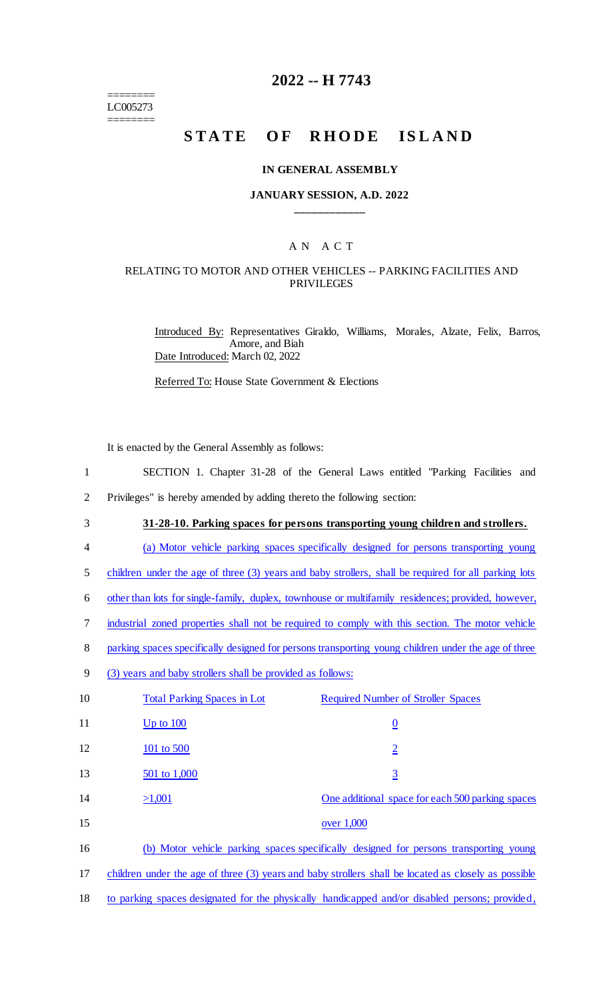======== LC005273 ========

# **2022 -- H 7743**

# **STATE OF RHODE ISLAND**

#### **IN GENERAL ASSEMBLY**

#### **JANUARY SESSION, A.D. 2022 \_\_\_\_\_\_\_\_\_\_\_\_**

# A N A C T

#### RELATING TO MOTOR AND OTHER VEHICLES -- PARKING FACILITIES AND PRIVILEGES

Introduced By: Representatives Giraldo, Williams, Morales, Alzate, Felix, Barros, Amore, and Biah Date Introduced: March 02, 2022

Referred To: House State Government & Elections

It is enacted by the General Assembly as follows:

1 SECTION 1. Chapter 31-28 of the General Laws entitled "Parking Facilities and

2 Privileges" is hereby amended by adding thereto the following section:

- 3 **31-28-10. Parking spaces for persons transporting young children and strollers.**
- 4 (a) Motor vehicle parking spaces specifically designed for persons transporting young

5 children under the age of three (3) years and baby strollers, shall be required for all parking lots

6 other than lots for single-family, duplex, townhouse or multifamily residences; provided, however,

- 7 industrial zoned properties shall not be required to comply with this section. The motor vehicle
- 8 parking spaces specifically designed for persons transporting young children under the age of three
- 9 (3) years and baby strollers shall be provided as follows:

| 10 | <b>Total Parking Spaces in Lot</b>                                                                   | <b>Required Number of Stroller Spaces</b>        |
|----|------------------------------------------------------------------------------------------------------|--------------------------------------------------|
| 11 | Up to $100$                                                                                          | $\overline{0}$                                   |
| 12 | 101 to 500                                                                                           | $\overline{2}$                                   |
| 13 | 501 to 1,000                                                                                         | $\overline{3}$                                   |
| 14 | >1,001                                                                                               | One additional space for each 500 parking spaces |
| 15 |                                                                                                      | over 1,000                                       |
| 16 | (b) Motor vehicle parking spaces specifically designed for persons transporting young                |                                                  |
| 17 | children under the age of three (3) years and baby strollers shall be located as closely as possible |                                                  |

18 to parking spaces designated for the physically handicapped and/or disabled persons; provided,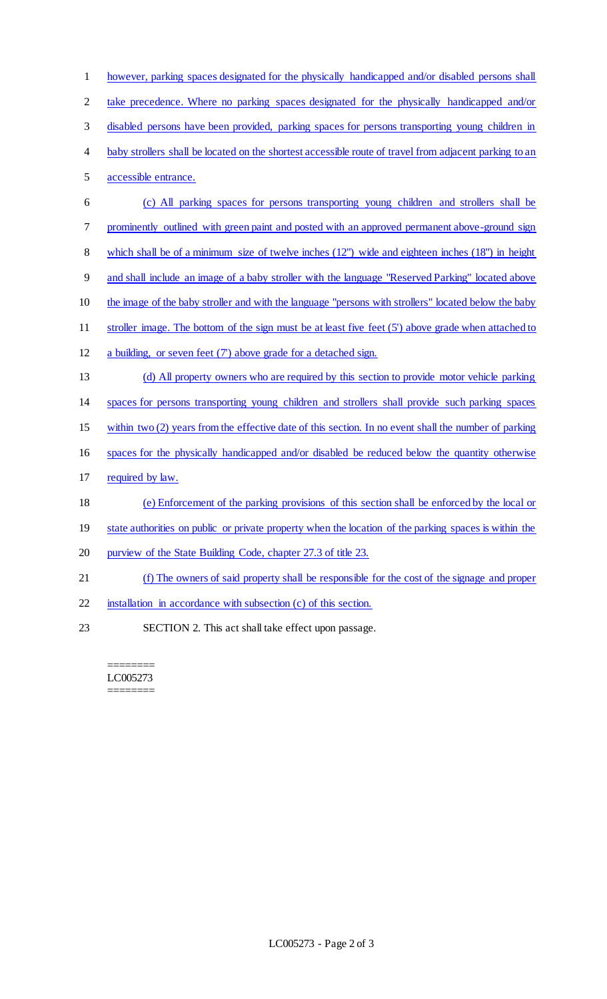however, parking spaces designated for the physically handicapped and/or disabled persons shall take precedence. Where no parking spaces designated for the physically handicapped and/or disabled persons have been provided, parking spaces for persons transporting young children in baby strollers shall be located on the shortest accessible route of travel from adjacent parking to an accessible entrance. (c) All parking spaces for persons transporting young children and strollers shall be prominently outlined with green paint and posted with an approved permanent above-ground sign which shall be of a minimum size of twelve inches (12") wide and eighteen inches (18") in height and shall include an image of a baby stroller with the language "Reserved Parking" located above the image of the baby stroller and with the language "persons with strollers" located below the baby stroller image. The bottom of the sign must be at least five feet (5') above grade when attached to a building, or seven feet (7') above grade for a detached sign. (d) All property owners who are required by this section to provide motor vehicle parking spaces for persons transporting young children and strollers shall provide such parking spaces within two (2) years from the effective date of this section. In no event shall the number of parking spaces for the physically handicapped and/or disabled be reduced below the quantity otherwise required by law. (e) Enforcement of the parking provisions of this section shall be enforced by the local or 19 state authorities on public or private property when the location of the parking spaces is within the 20 purview of the State Building Code, chapter 27.3 of title 23. (f) The owners of said property shall be responsible for the cost of the signage and proper installation in accordance with subsection (c) of this section. SECTION 2. This act shall take effect upon passage.

======== LC005273 ========